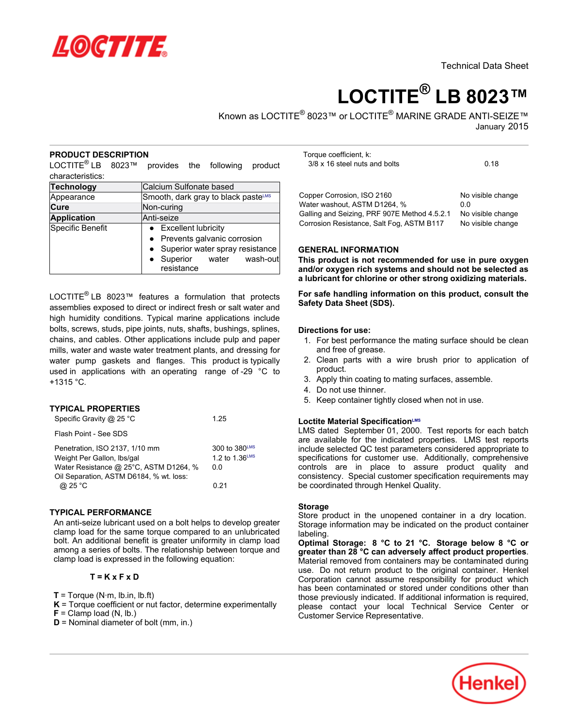

# **LOCTITE® LB 8023™**

Known as <code>LOCTITE®</code> 8023™ or <code>LOCTITE®</code> MARINE GRADE ANTI-SEIZE™ January 2015

# **PRODUCT DESCRIPTION**

LOCTITE® LB 8023™ provides the following product characteristics:

| <b>Technology</b>  | Calcium Sulfonate based                   |  |
|--------------------|-------------------------------------------|--|
| Appearance         | Smooth, dark gray to black pasteLMS       |  |
| Cure               | Non-curing                                |  |
| <b>Application</b> | Anti-seize                                |  |
| Specific Benefit   | • Excellent lubricity                     |  |
|                    | • Prevents galvanic corrosion             |  |
|                    | • Superior water spray resistance         |  |
|                    | Superior water<br>wash-outl<br>resistance |  |

LOCTITE<sup>®</sup> LB 8023™ features a formulation that protects assemblies exposed to direct or indirect fresh or salt water and high humidity conditions. Typical marine applications include bolts, screws, studs, pipe joints, nuts, shafts, bushings, splines, chains, and cables. Other applications include pulp and paper mills, water and waste water treatment plants, and dressing for water pump gaskets and flanges. This product is typically used in applications with an operating range of -29 °C to +1315 °C.

# **TYPICAL PROPERTIES**

| Specific Gravity @ 25 °C                                     | 1 25                                        |
|--------------------------------------------------------------|---------------------------------------------|
| Flash Point - See SDS                                        |                                             |
| Penetration, ISO 2137, 1/10 mm<br>Weight Per Gallon, Ibs/gal | 300 to 380LMS<br>1.2 to $1.36^{\text{LMS}}$ |
| Water Resistance @ 25°C, ASTM D1264, %                       | 0 O                                         |
| Oil Separation, ASTM D6184, % wt. loss:<br>@ 25 °C           | በ 21                                        |
|                                                              |                                             |

# **TYPICAL PERFORMANCE**

An anti-seize lubricant used on a bolt helps to develop greater clamp load for the same torque compared to an unlubricated bolt. An additional benefit is greater uniformity in clamp load among a series of bolts. The relationship between torque and clamp load is expressed in the following equation:

# **T = K x F x D**

- $T = T$ orque (N·m, lb.in, lb.ft)
- **K** = Torque coefficient or nut factor, determine experimentally
- $F =$  Clamp load  $(N, lb.)$
- **D** = Nominal diameter of bolt (mm, in.)

Torque coefficient, k:  $3/8 \times 16$  steel nuts and bolts 0.18

| Copper Corrosion, ISO 2160                   | No visible change |
|----------------------------------------------|-------------------|
| Water washout. ASTM D1264. %                 | 0 Q               |
| Galling and Seizing, PRF 907E Method 4.5.2.1 | No visible change |
| Corrosion Resistance, Salt Fog, ASTM B117    | No visible change |

# **GENERAL INFORMATION**

**This product is not recommended for use in pure oxygen and/or oxygen rich systems and should not be selected as a lubricant for chlorine or other strong oxidizing materials.**

**For safe handling information on this product, consult the Safety Data Sheet (SDS).**

## **Directions for use:**

- 1. For best performance the mating surface should be clean and free of grease.
- 2. Clean parts with a wire brush prior to application of product.
- 3. Apply thin coating to mating surfaces, assemble.
- 4. Do not use thinner.
- 5. Keep container tightly closed when not in use.

# **Loctite Material SpecificationLMS**

LMS dated September 01, 2000. Test reports for each batch are available for the indicated properties. LMS test reports include selected QC test parameters considered appropriate to specifications for customer use. Additionally, comprehensive controls are in place to assure product quality and consistency. Special customer specification requirements may be coordinated through Henkel Quality.

## **Storage**

Store product in the unopened container in a dry location. Storage information may be indicated on the product container labeling.

**Optimal Storage: 8 °C to 21 °C. Storage below 8 °C or greater than 28 °C can adversely affect product properties**. Material removed from containers may be contaminated during use. Do not return product to the original container. Henkel Corporation cannot assume responsibility for product which has been contaminated or stored under conditions other than those previously indicated. If additional information is required, please contact your local Technical Service Center or Customer Service Representative.